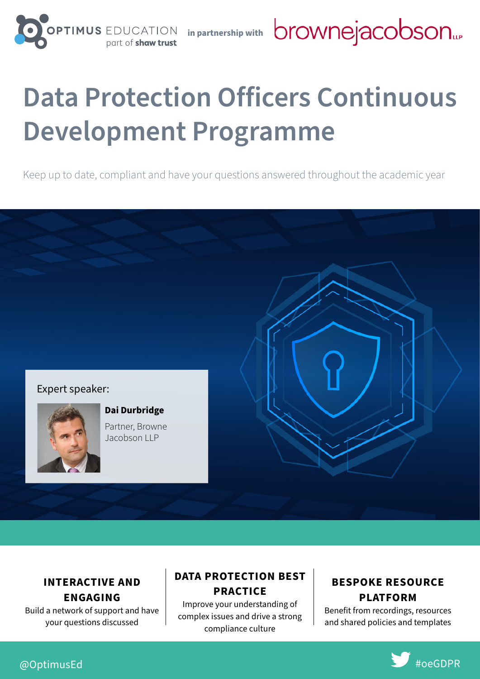part of

**in partnership with**

# **Data Protection Officers Continuous Development Programme**

Keep up to date, compliant and have your questions answered throughout the academic year

#### Expert speaker:



**ENGAGING** Build a network of support and have your questions discussed

**Dai Durbridge** Partner, Browne Jacobson LLP

#### **DATA PROTECTION BEST PRACTICE INTERACTIVE AND**

Improve your understanding of complex issues and drive a strong compliance culture

#### **BESPOKE RESOURCE PLATFORM**

Benefit from recordings, resources and shared policies and templates

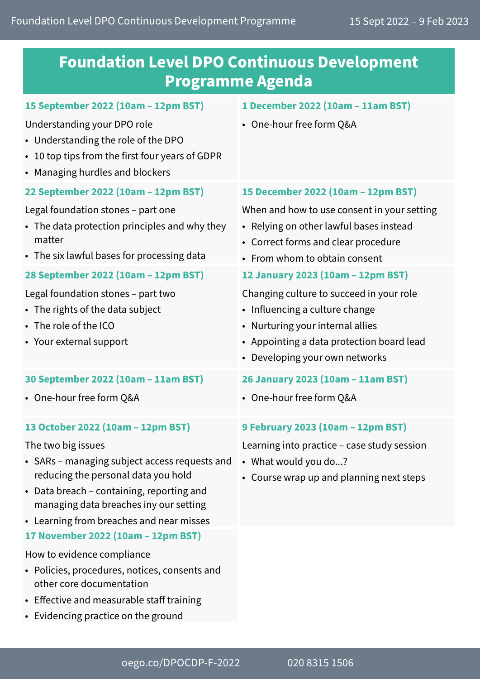### **Foundation Level DPO Continuous Development Programme Agenda**

#### **15 September 2022 (10am – 12pm BST)**

Understanding your DPO role

- Understanding the role of the DPO
- 10 top tips from the first four years of GDPR
- Managing hurdles and blockers

#### **22 September 2022 (10am – 12pm BST)**

Legal foundation stones – part one

- The data protection principles and why they matter
- The six lawful bases for processing data

#### **28 September 2022 (10am – 12pm BST)**

Legal foundation stones – part two

- The rights of the data subject
- The role of the ICO
- Your external support

#### **30 September 2022 (10am – 11am BST)**

• One-hour free form Q&A

#### **13 October 2022 (10am – 12pm BST)**

The two big issues

- SARs managing subject access requests and reducing the personal data you hold
- Data breach containing, reporting and managing data breaches iny our setting
- Learning from breaches and near misses

#### **17 November 2022 (10am – 12pm BST)**

How to evidence compliance

- Policies, procedures, notices, consents and other core documentation
- Effective and measurable staff training
- Evidencing practice on the ground

#### **1 December 2022 (10am – 11am BST)**

• One-hour free form Q&A

#### **15 December 2022 (10am – 12pm BST)**

When and how to use consent in your setting

- Relying on other lawful bases instead
- Correct forms and clear procedure
- From whom to obtain consent

#### **12 January 2023 (10am – 12pm BST)**

Changing culture to succeed in your role

- Influencing a culture change
- Nurturing your internal allies
- Appointing a data protection board lead
- Developing your own networks

#### **26 January 2023 (10am – 11am BST)**

• One-hour free form Q&A

#### **9 February 2023 (10am – 12pm BST)**

Learning into practice – case study session

- What would you do...?
- Course wrap up and planning next steps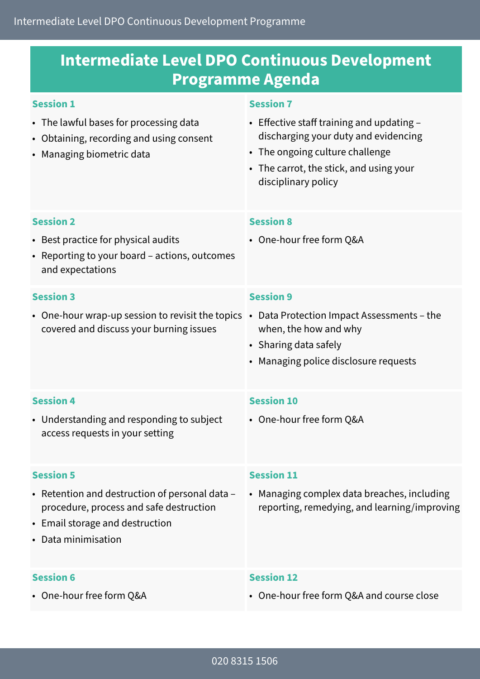### **Intermediate Level DPO Continuous Development Programme Agenda**

#### **Session 1** • The lawful bases for processing data • Obtaining, recording and using consent • Managing biometric data **Session 7** • Effective staff training and updating – discharging your duty and evidencing • The ongoing culture challenge • The carrot, the stick, and using your disciplinary policy **Session 2** • Best practice for physical audits • Reporting to your board – actions, outcomes and expectations **Session 8** • One-hour free form Q&A **Session 3** • One-hour wrap-up session to revisit the topics • Data Protection Impact Assessments – the covered and discuss your burning issues **Session 9** when, the how and why • Sharing data safely • Managing police disclosure requests **Session 4** • Understanding and responding to subject access requests in your setting **Session 10** • One-hour free form Q&A **Session 5** • Retention and destruction of personal data – procedure, process and safe destruction • Email storage and destruction • Data minimisation **Session 11** • Managing complex data breaches, including reporting, remedying, and learning/improving

#### **Session 6**

• One-hour free form Q&A

#### **Session 12**

• One-hour free form Q&A and course close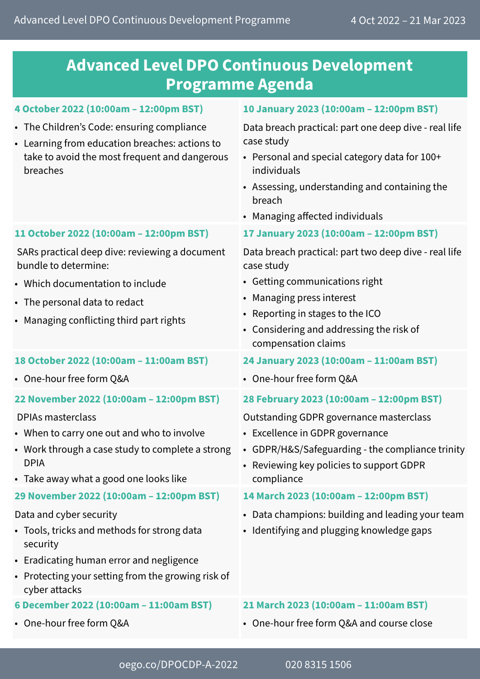### **Advanced Level DPO Continuous Development Programme Agenda**

#### **4 October 2022 (10:00am – 12:00pm BST)**

- The Children's Code: ensuring compliance
- Learning from education breaches: actions to take to avoid the most frequent and dangerous breaches

### **10 January 2023 (10:00am – 12:00pm BST)**

Data breach practical: part one deep dive - real life case study

- Personal and special category data for 100+ individuals
- Assessing, understanding and containing the breach
- Managing affected individuals
- **17 January 2023 (10:00am 12:00pm BST)**

Data breach practical: part two deep dive - real life case study

- Getting communications right
- Managing press interest
- Reporting in stages to the ICO
- Considering and addressing the risk of compensation claims

#### **24 January 2023 (10:00am – 11:00am BST)**

• One-hour free form Q&A

#### **28 February 2023 (10:00am – 12:00pm BST)**

Outstanding GDPR governance masterclass

- Excellence in GDPR governance
- GDPR/H&S/Safeguarding the compliance trinity
- Reviewing key policies to support GDPR compliance

#### **14 March 2023 (10:00am – 12:00pm BST)**

- Data champions: building and leading your team
- Identifying and plugging knowledge gaps
- **21 March 2023 (10:00am 11:00am BST)**
- One-hour free form Q&A and course close

#### **11 October 2022 (10:00am – 12:00pm BST)**

SARs practical deep dive: reviewing a document bundle to determine:

- Which documentation to include
- The personal data to redact
- Managing conflicting third part rights

#### **18 October 2022 (10:00am – 11:00am BST)**

• One-hour free form Q&A

#### **22 November 2022 (10:00am – 12:00pm BST)**

DPIAs masterclass

- When to carry one out and who to involve
- Work through a case study to complete a strong DPIA
- Take away what a good one looks like

### **29 November 2022 (10:00am – 12:00pm BST)**

#### Data and cyber security

- Tools, tricks and methods for strong data security
- Eradicating human error and negligence
- Protecting your setting from the growing risk of cyber attacks
- **6 December 2022 (10:00am 11:00am BST)**
- One-hour free form Q&A

[oego.co/DPOCDP-A-2022](http://oego.co/DPOCDP-A-2022) 020 8315 1506